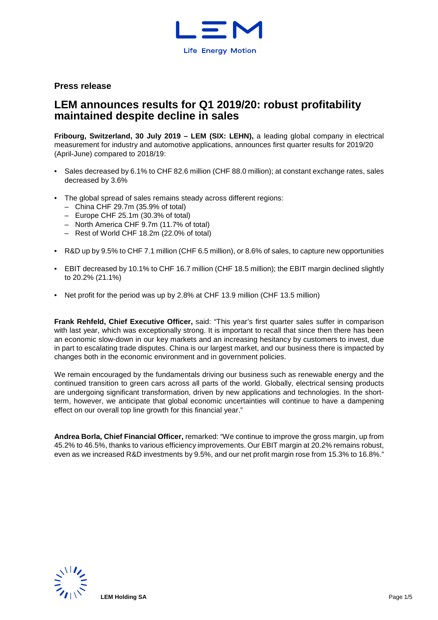

## **Press release**

# **LEM announces results for Q1 2019/20: robust profitability maintained despite decline in sales**

**Fribourg, Switzerland, 30 July 2019 – LEM (SIX: LEHN),** a leading global company in electrical measurement for industry and automotive applications, announces first quarter results for 2019/20 (April-June) compared to 2018/19:

- Sales decreased by 6.1% to CHF 82.6 million (CHF 88.0 million); at constant exchange rates, sales decreased by 3.6%
- The global spread of sales remains steady across different regions:
	- China CHF 29.7m (35.9% of total)
	- Europe CHF 25.1m (30.3% of total)
	- North America CHF 9.7m (11.7% of total)
	- Rest of World CHF 18.2m (22.0% of total)
- R&D up by 9.5% to CHF 7.1 million (CHF 6.5 million), or 8.6% of sales, to capture new opportunities
- EBIT decreased by 10.1% to CHF 16.7 million (CHF 18.5 million); the EBIT margin declined slightly to 20.2% (21.1%)
- Net profit for the period was up by 2.8% at CHF 13.9 million (CHF 13.5 million)

**Frank Rehfeld, Chief Executive Officer,** said: "This year's first quarter sales suffer in comparison with last year, which was exceptionally strong. It is important to recall that since then there has been an economic slow-down in our key markets and an increasing hesitancy by customers to invest, due in part to escalating trade disputes. China is our largest market, and our business there is impacted by changes both in the economic environment and in government policies.

We remain encouraged by the fundamentals driving our business such as renewable energy and the continued transition to green cars across all parts of the world. Globally, electrical sensing products are undergoing significant transformation, driven by new applications and technologies. In the shortterm, however, we anticipate that global economic uncertainties will continue to have a dampening effect on our overall top line growth for this financial year."

**Andrea Borla, Chief Financial Officer,** remarked: "We continue to improve the gross margin, up from 45.2% to 46.5%, thanks to various efficiency improvements. Our EBIT margin at 20.2% remains robust, even as we increased R&D investments by 9.5%, and our net profit margin rose from 15.3% to 16.8%."

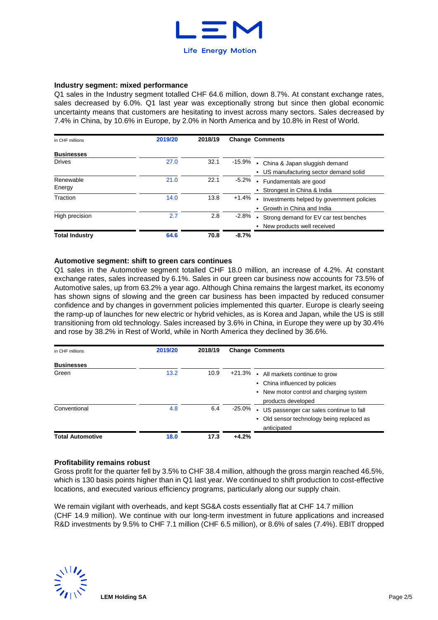

#### **Industry segment: mixed performance**

Q1 sales in the Industry segment totalled CHF 64.6 million, down 8.7%. At constant exchange rates, sales decreased by 6.0%. Q1 last year was exceptionally strong but since then global economic uncertainty means that customers are hesitating to invest across many sectors. Sales decreased by 7.4% in China, by 10.6% in Europe, by 2.0% in North America and by 10.8% in Rest of World.

| in CHF millions       | 2019/20 | 2018/19 | <b>Change Comments</b>                                            |
|-----------------------|---------|---------|-------------------------------------------------------------------|
| <b>Businesses</b>     |         |         |                                                                   |
| <b>Drives</b>         | 27.0    | 32.1    | -15.9% • China & Japan sluggish demand                            |
|                       |         |         | • US manufacturing sector demand solid                            |
| Renewable             | 21.0    | 22.1    | -5.2%<br>Fundamentals are good<br>$\bullet$                       |
| Energy                |         |         | Strongest in China & India                                        |
| Traction              | 14.0    | 13.8    | $+1.4%$<br>Investments helped by government policies<br>$\bullet$ |
|                       |         |         | Growth in China and India                                         |
| High precision        | 2.7     | 2.8     | $-2.8\%$<br>Strong demand for EV car test benches<br>$\bullet$    |
|                       |         |         | New products well received                                        |
| <b>Total Industry</b> | 64.6    | 70.8    | $-8.7%$                                                           |

### **Automotive segment: shift to green cars continues**

Q1 sales in the Automotive segment totalled CHF 18.0 million, an increase of 4.2%. At constant exchange rates, sales increased by 6.1%. Sales in our green car business now accounts for 73.5% of Automotive sales, up from 63.2% a year ago. Although China remains the largest market, its economy has shown signs of slowing and the green car business has been impacted by reduced consumer confidence and by changes in government policies implemented this quarter. Europe is clearly seeing the ramp-up of launches for new electric or hybrid vehicles, as is Korea and Japan, while the US is still transitioning from old technology. Sales increased by 3.6% in China, in Europe they were up by 30.4% and rose by 38.2% in Rest of World, while in North America they declined by 36.6%.

| in CHF millions            | 2019/20 | 2018/19 |         | <b>Change Comments</b>                                                                                                                   |
|----------------------------|---------|---------|---------|------------------------------------------------------------------------------------------------------------------------------------------|
| <b>Businesses</b><br>Green | 13.2    | 10.9    |         |                                                                                                                                          |
|                            |         |         |         | +21.3% • All markets continue to grow<br>• China influenced by policies<br>• New motor control and charging system<br>products developed |
| Conventional               | 4.8     | 6.4     | -25.0%  | • US passenger car sales continue to fall<br>Old sensor technology being replaced as<br>anticipated                                      |
| <b>Total Automotive</b>    | 18.0    | 17.3    | $+4.2%$ |                                                                                                                                          |

#### **Profitability remains robust**

Gross profit for the quarter fell by 3.5% to CHF 38.4 million, although the gross margin reached 46.5%, which is 130 basis points higher than in Q1 last year. We continued to shift production to cost-effective locations, and executed various efficiency programs, particularly along our supply chain.

We remain vigilant with overheads, and kept SG&A costs essentially flat at CHF 14.7 million (CHF 14.9 million). We continue with our long-term investment in future applications and increased R&D investments by 9.5% to CHF 7.1 million (CHF 6.5 million), or 8.6% of sales (7.4%). EBIT dropped

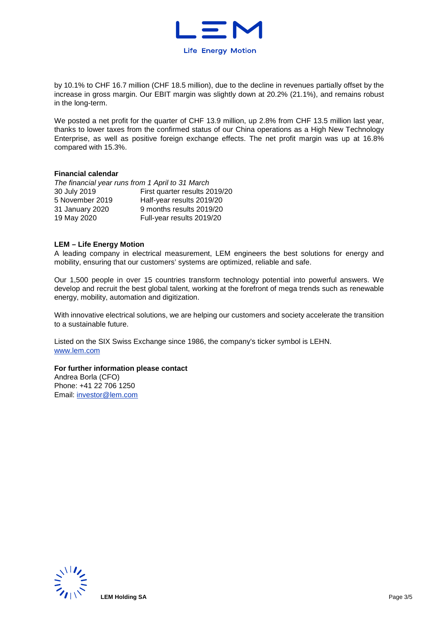

by 10.1% to CHF 16.7 million (CHF 18.5 million), due to the decline in revenues partially offset by the increase in gross margin. Our EBIT margin was slightly down at 20.2% (21.1%), and remains robust in the long-term.

We posted a net profit for the quarter of CHF 13.9 million, up 2.8% from CHF 13.5 million last year, thanks to lower taxes from the confirmed status of our China operations as a High New Technology Enterprise, as well as positive foreign exchange effects. The net profit margin was up at 16.8% compared with 15.3%.

#### **Financial calendar**

| The financial year runs from 1 April to 31 March |                               |  |  |  |  |  |  |
|--------------------------------------------------|-------------------------------|--|--|--|--|--|--|
| 30 July 2019                                     | First quarter results 2019/20 |  |  |  |  |  |  |
| 5 November 2019                                  | Half-year results 2019/20     |  |  |  |  |  |  |
| 31 January 2020                                  | 9 months results 2019/20      |  |  |  |  |  |  |
| 19 May 2020                                      | Full-year results 2019/20     |  |  |  |  |  |  |

### **LEM – Life Energy Motion**

A leading company in electrical measurement, LEM engineers the best solutions for energy and mobility, ensuring that our customers' systems are optimized, reliable and safe.

Our 1,500 people in over 15 countries transform technology potential into powerful answers. We develop and recruit the best global talent, working at the forefront of mega trends such as renewable energy, mobility, automation and digitization.

With innovative electrical solutions, we are helping our customers and society accelerate the transition to a sustainable future.

Listed on the SIX Swiss Exchange since 1986, the company's ticker symbol is LEHN. www.lem.com

### **For further information please contact**

Andrea Borla (CFO) Phone: +41 22 706 1250 Email: investor@lem.com

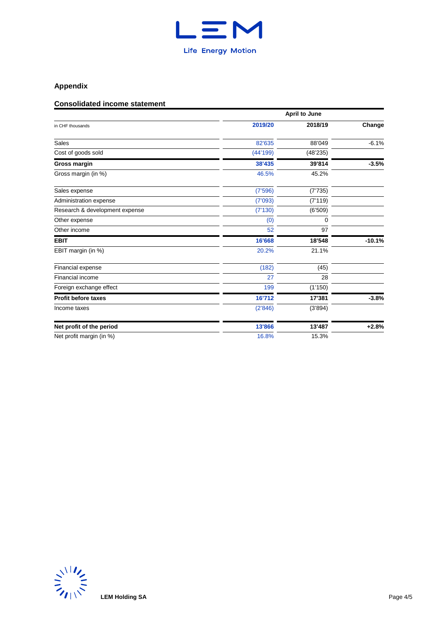

# **Appendix**

# **Consolidated income statement**

|                                | <b>April to June</b> |          |          |  |  |  |  |
|--------------------------------|----------------------|----------|----------|--|--|--|--|
| in CHF thousands               | 2019/20              | 2018/19  | Change   |  |  |  |  |
| Sales                          | 82'635               | 88'049   | $-6.1%$  |  |  |  |  |
| Cost of goods sold             | (44'199)             | (48'235) |          |  |  |  |  |
| <b>Gross margin</b>            | 38'435               | 39'814   | $-3.5%$  |  |  |  |  |
| Gross margin (in %)            | 46.5%                | 45.2%    |          |  |  |  |  |
| Sales expense                  | (7'596)              | (7'735)  |          |  |  |  |  |
| Administration expense         | (7'093)              | (7'119)  |          |  |  |  |  |
| Research & development expense | (7'130)              | (6'509)  |          |  |  |  |  |
| Other expense                  | (0)                  | 0        |          |  |  |  |  |
| Other income                   | 52                   | 97       |          |  |  |  |  |
| <b>EBIT</b>                    | 16'668               | 18'548   | $-10.1%$ |  |  |  |  |
| EBIT margin (in %)             | 20.2%                | 21.1%    |          |  |  |  |  |
| Financial expense              | (182)                | (45)     |          |  |  |  |  |
| Financial income               | 27                   | 28       |          |  |  |  |  |
| Foreign exchange effect        | 199                  | (1'150)  |          |  |  |  |  |
| <b>Profit before taxes</b>     | 16'712               | 17'381   | $-3.8%$  |  |  |  |  |
| Income taxes                   | (2'846)              | (3'894)  |          |  |  |  |  |
| Net profit of the period       | 13'866               | 13'487   | $+2.8%$  |  |  |  |  |
| Net profit margin (in %)       | 16.8%                | 15.3%    |          |  |  |  |  |